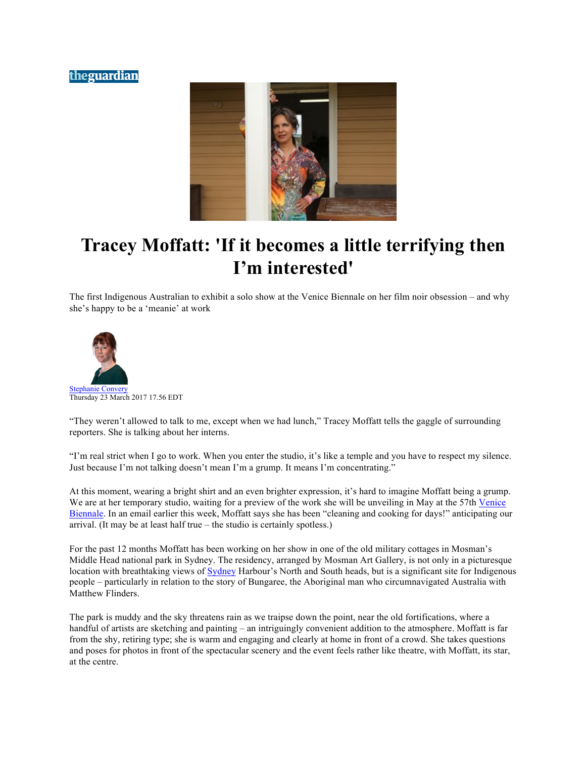## theguardian



## **Tracey Moffatt: 'If it becomes a little terrifying then I'm interested'**

The first Indigenous Australian to exhibit a solo show at the Venice Biennale on her film noir obsession – and why she's happy to be a 'meanie' at work



"They weren't allowed to talk to me, except when we had lunch," Tracey Moffatt tells the gaggle of surrounding reporters. She is talking about her interns.

"I'm real strict when I go to work. When you enter the studio, it's like a temple and you have to respect my silence. Just because I'm not talking doesn't mean I'm a grump. It means I'm concentrating."

At this moment, wearing a bright shirt and an even brighter expression, it's hard to imagine Moffatt being a grump. We are at her temporary studio, waiting for a preview of the work she will be unveiling in May at the 57th Venice Biennale. In an email earlier this week, Moffatt says she has been "cleaning and cooking for days!" anticipating our arrival. (It may be at least half true – the studio is certainly spotless.)

For the past 12 months Moffatt has been working on her show in one of the old military cottages in Mosman's Middle Head national park in Sydney. The residency, arranged by Mosman Art Gallery, is not only in a picturesque location with breathtaking views of Sydney Harbour's North and South heads, but is a significant site for Indigenous people – particularly in relation to the story of Bungaree, the Aboriginal man who circumnavigated Australia with Matthew Flinders.

The park is muddy and the sky threatens rain as we traipse down the point, near the old fortifications, where a handful of artists are sketching and painting – an intriguingly convenient addition to the atmosphere. Moffatt is far from the shy, retiring type; she is warm and engaging and clearly at home in front of a crowd. She takes questions and poses for photos in front of the spectacular scenery and the event feels rather like theatre, with Moffatt, its star, at the centre.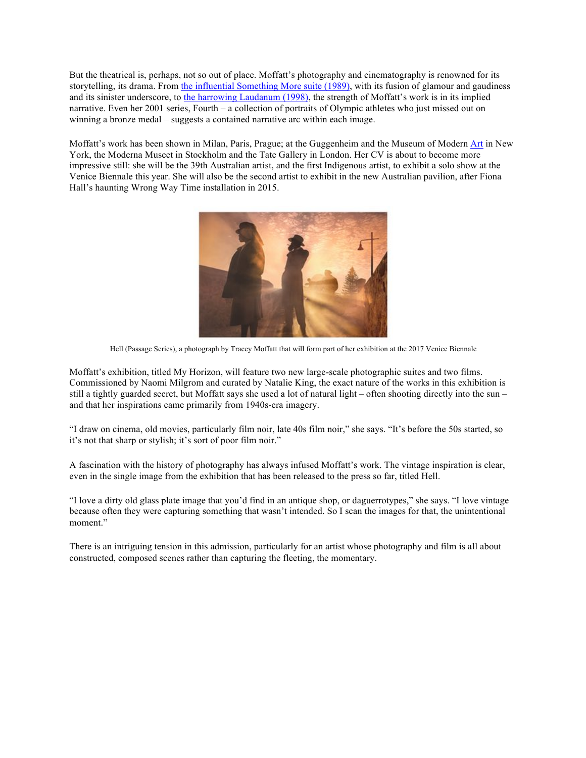But the theatrical is, perhaps, not so out of place. Moffatt's photography and cinematography is renowned for its storytelling, its drama. From the influential Something More suite (1989), with its fusion of glamour and gaudiness and its sinister underscore, to the harrowing Laudanum (1998), the strength of Moffatt's work is in its implied narrative. Even her 2001 series, Fourth – a collection of portraits of Olympic athletes who just missed out on winning a bronze medal – suggests a contained narrative arc within each image.

Moffatt's work has been shown in Milan, Paris, Prague; at the Guggenheim and the Museum of Modern Art in New York, the Moderna Museet in Stockholm and the Tate Gallery in London. Her CV is about to become more impressive still: she will be the 39th Australian artist, and the first Indigenous artist, to exhibit a solo show at the Venice Biennale this year. She will also be the second artist to exhibit in the new Australian pavilion, after Fiona Hall's haunting Wrong Way Time installation in 2015.



Hell (Passage Series), a photograph by Tracey Moffatt that will form part of her exhibition at the 2017 Venice Biennale

Moffatt's exhibition, titled My Horizon, will feature two new large-scale photographic suites and two films. Commissioned by Naomi Milgrom and curated by Natalie King, the exact nature of the works in this exhibition is still a tightly guarded secret, but Moffatt says she used a lot of natural light – often shooting directly into the sun – and that her inspirations came primarily from 1940s-era imagery.

"I draw on cinema, old movies, particularly film noir, late 40s film noir," she says. "It's before the 50s started, so it's not that sharp or stylish; it's sort of poor film noir."

A fascination with the history of photography has always infused Moffatt's work. The vintage inspiration is clear, even in the single image from the exhibition that has been released to the press so far, titled Hell.

"I love a dirty old glass plate image that you'd find in an antique shop, or daguerrotypes," she says. "I love vintage because often they were capturing something that wasn't intended. So I scan the images for that, the unintentional moment."

There is an intriguing tension in this admission, particularly for an artist whose photography and film is all about constructed, composed scenes rather than capturing the fleeting, the momentary.